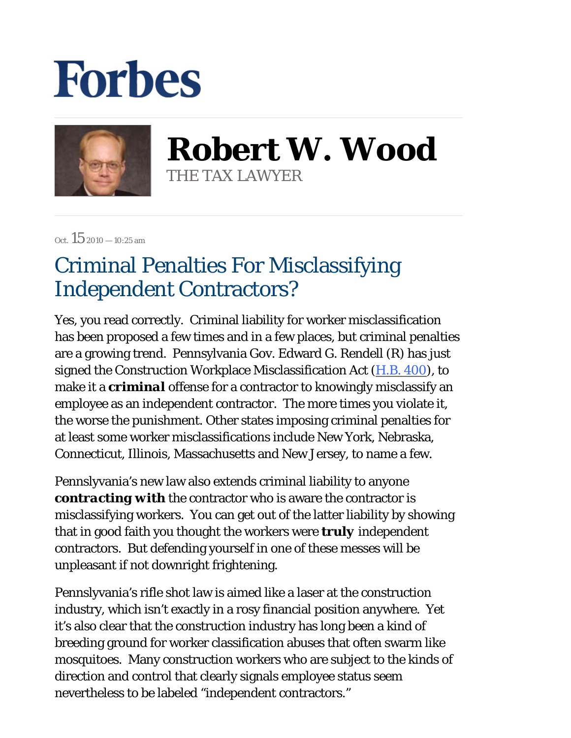## **Forbes**



**Robert W. Wood** THE TAX LAWYER

Oct.  $15$  2010 – 10:25 am

## Criminal Penalties For Misclassifying Independent Contractors?

Yes, you read correctly. Criminal liability for worker misclassification has been proposed a few times and in a few places, but criminal penalties are a growing trend. Pennsylvania Gov. Edward G. Rendell (R) has just signed the Construction Workplace Misclassification Act  $(H.B. 400)$ , to make it a *criminal* offense for a contractor to knowingly misclassify an employee as an independent contractor. The more times you violate it, the worse the punishment. Other states imposing criminal penalties for at least some worker misclassifications include New York, Nebraska, Connecticut, Illinois, Massachusetts and New Jersey, to name a few.

Pennslyvania's new law also extends criminal liability to anyone *contracting with* the contractor who is aware the contractor is misclassifying workers. You can get out of the latter liability by showing that in good faith you thought the workers were *truly* independent contractors. But defending yourself in one of these messes will be unpleasant if not downright frightening.

Pennslyvania's rifle shot law is aimed like a laser at the construction industry, which isn't exactly in a rosy financial position anywhere. Yet it's also clear that the construction industry has long been a kind of breeding ground for worker classification abuses that often swarm like mosquitoes. Many construction workers who are subject to the kinds of direction and control that clearly signals employee status seem nevertheless to be labeled "independent contractors."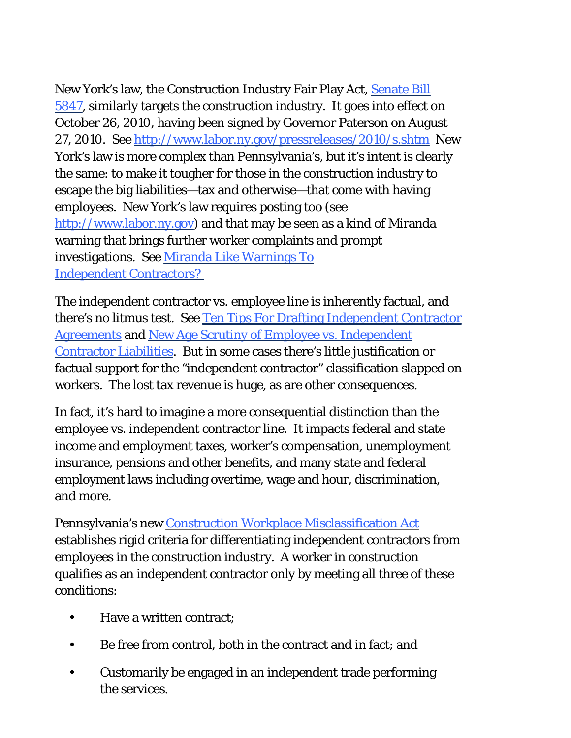New York's law, the Construction Industry Fair Play Act, Senate Bill 5847, similarly targets the construction industry. It goes into effect on October 26, 2010, having been signed by Governor Paterson on August 27, 2010. See http://www.labor.ny.gov/pressreleases/2010/s.shtm New York's law is more complex than Pennsylvania's, but it's intent is clearly the same: to make it tougher for those in the construction industry to escape the big liabilities—tax and otherwise—that come with having employees. New York's law requires posting too (see http://www.labor.ny.gov) and that may be seen as a kind of Miranda warning that brings further worker complaints and prompt investigations. See Miranda Like Warnings To Independent Contractors?

The independent contractor vs. employee line is inherently factual, and there's no litmus test. See Ten Tips For Drafting Independent Contractor Agreements and New Age Scrutiny of Employee vs. Independent Contractor Liabilities. But in some cases there's little justification or factual support for the "independent contractor" classification slapped on workers. The lost tax revenue is huge, as are other consequences.

In fact, it's hard to imagine a more consequential distinction than the employee vs. independent contractor line. It impacts federal and state income and employment taxes, worker's compensation, unemployment insurance, pensions and other benefits, and many state and federal employment laws including overtime, wage and hour, discrimination, and more.

Pennsylvania's new Construction Workplace Misclassification Act establishes rigid criteria for differentiating independent contractors from employees in the construction industry. A worker in construction qualifies as an independent contractor only by meeting all three of these conditions:

- Have a written contract;
- Be free from control, both in the contract and in fact; and
- Customarily be engaged in an independent trade performing the services. •